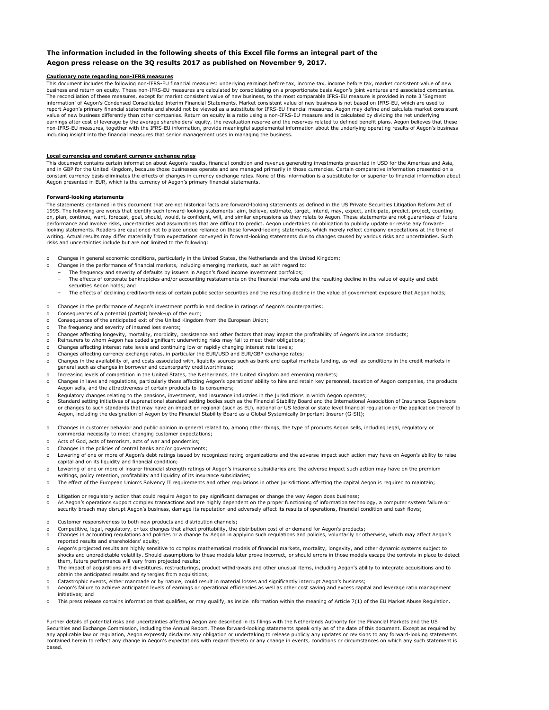### **The information included in the following sheets of this Excel file forms an integral part of the Aegon press release on the 3Q results 2017 as published on November 9, 2017.**

### **Cautionary note regarding non-IFRS measures**

This document includes the following non-IFRS-EU financial measures: underlying earnings before tax, income tax, income before tax, market consistent value of new business and return on equity. These non-IFRS-EU measures are calculated by consolidating on a proportionate basis Aegon's joint ventures and associated companies. The reconciliation of these measures, except for market consistent value of new business, to the most comparable IFRS-EU measure is provided in note 3 'Segment information' of Aegon's Condensed Consolidated Interim Financial Statements. Market consistent value of new business is not based on IFRS-EU, which are used to report Aegon's primary financial statements and should not be viewed as a substitute for IFRS-EU financial measures. Aegon may define and calculate market consistent value of new business differently than other companies. Return on equity is a ratio using a non-IFRS-EU measure and is calculated by dividing the net underlying earnings after cost of leverage by the average shareholders' equity, the revaluation reserve and the reserves related to defined benefit plans. Aegon believes that these non-IFRS-EU measures, together with the IFRS-EU information, provide meaningful supplemental information about the underlying operating results of Aegon's business including insight into the financial measures that senior management uses in managing the business.

### **Local currencies and constant currency exchange rates**

This document contains certain information about Aegon's results, financial condition and revenue generating investments presented in USD for the Americas and Asia, and in GBP for the United Kingdom, because those businesses operate and are managed primarily in those currencies. Certain comparative information presented on a<br>constant currency basis eliminates the effects of changes in Aegon presented in EUR, which is the currency of Aegon's primary financial statements.

#### **Forward-looking statements**

The statements contained in this document that are not historical facts are forward-looking statements as defined in the US Private Securities Litigation Reform Act of 1995. The following are words that identify such forward-looking statements: aim, believe, estimate, target, intend, may, expect, anticipate, predict, project, counting on, plan, continue, want, forecast, goal, should, would, is confident, will, and similar expressions as they relate to Aegon. These statements are not guarantees of future performance and involve risks, uncertainties and assumptions that are difficult to predict. Aegon undertakes no obligation to publicly update or revise any forwardlooking statements. Readers are cautioned not to place undue reliance on these forward-looking statements, which merely reflect company expectations at the time of writing. Actual results may differ materially from expectations conveyed in forward-looking statements due to changes caused by various risks and uncertainties. Such risks and uncertainties include but are not limited to the following:

- o Changes in general economic conditions, particularly in the United States, the Netherlands and the United Kingdom;
	- Changes in the performance of financial markets, including emerging markets, such as with regard to:
	- The frequency and severity of defaults by issuers in Aegon's fixed income investment portfolios;
	- The effects of corporate bankruptcies and/or accounting restatements on the financial markets and the resulting decline in the value of equity and debt securities Aegon holds; and
- The effects of declining creditworthiness of certain public sector securities and the resulting decline in the value of government exposure that Aegon holds;
- o Changes in the performance of Aegon's investment portfolio and decline in ratings of Aegon's counterparties;
- o Consequences of a potential (partial) break-up of the euro;
- o Consequences of the anticipated exit of the United Kingdom from the European Union;
- o The frequency and severity of insured loss events;
- o Changes affecting longevity, mortality, morbidity, persistence and other factors that may impact the profitability of Aegon's insurance products;
- Reinsurers to whom Aegon has ceded significant underwriting risks may fail to meet their obligations;
- o Changes affecting interest rate levels and continuing low or rapidly changing interest rate levels;
- o Changes affecting currency exchange rates, in particular the EUR/USD and EUR/GBP exchange rates;
- o Changes in the availability of, and costs associated with, liquidity sources such as bank and capital markets funding, as well as conditions in the credit markets in<br>general such as changes in borrower and counterparty cre
- o Increasing levels of competition in the United States, the Netherlands, the United Kingdom and emerging markets;
- o Changes in laws and regulations, particularly those affecting Aegon's operations' ability to hire and retain key personnel, taxation of Aegon companies, the products Aegon sells, and the attractiveness of certain products to its consumers;
- o Regulatory changes relating to the pensions, investment, and insurance industries in the jurisdictions in which Aegon operates;
- o Standard setting initiatives of supranational standard setting bodies such as the Financial Stability Board and the International Association of Insurance Supervisors<br>or changes to such standards that may have an impact on Aegon, including the designation of Aegon by the Financial Stability Board as a Global Systemically Important Insurer (G-SII);
- o Changes in customer behavior and public opinion in general related to, among other things, the type of products Aegon sells, including legal, regulatory or commercial necessity to meet changing customer expectations;
- o Acts of God, acts of terrorism, acts of war and pandemics;
- Changes in the policies of central banks and/or governments;
- o Lowering of one or more of Aegon's debt ratings issued by recognized rating organizations and the adverse impact such action may have on Aegon's ability to raise capital and on its liquidity and financial condition;
- o Lowering of one or more of insurer financial strength ratings of Aegon's insurance subsidiaries and the adverse impact such action may have on the premium writings, policy retention, profitability and liquidity of its insurance subsidiaries;
- o The effect of the European Union's Solvency II requirements and other regulations in other jurisdictions affecting the capital Aegon is required to maintain;
- o Litigation or regulatory action that could require Aegon to pay significant damages or change the way Aegon does business;<br>o As Aegon's operations support complex transactions and are highly dependent on the proper funct o security breach may disrupt Aegon's business, damage its reputation and adversely affect its results of operations, financial condition and cash flows;
- o Customer responsiveness to both new products and distribution channels;
- Competitive, legal, regulatory, or tax changes that affect profitability, the distribution cost of or demand for Aegon's products;
- o Changes in accounting regulations and policies or a change by Aegon in applying such regulations and policies, voluntarily or otherwise, which may affect Aegon's reported results and shareholders' equity;
- o Aegon's projected results are highly sensitive to complex mathematical models of financial markets, mortality, longevity, and other dynamic systems subject to shocks and unpredictable volatility. Should assumptions to these models later prove incorrect, or should errors in those models escape the controls in place to detect them, future performance will vary from projected results;
- o The impact of acquisitions and divestitures, restructurings, product withdrawals and other unusual items, including Aegon's ability to integrate acquisitions and to obtain the anticipated results and synergies from acquisitions;
- Catastrophic events, either manmade or by nature, could result in material losses and significantly interrupt Aegon's business;
- o Aegon's failure to achieve anticipated levels of earnings or operational efficiencies as well as other cost saving and excess capital and leverage ratio management initiatives; and
- o This press release contains information that qualifies, or may qualify, as inside information within the meaning of Article 7(1) of the EU Market Abuse Regulation.

Further details of potential risks and uncertainties affecting Aegon are described in its filings with the Netherlands Authority for the Financial Markets and the US Securities and Exchange Commission, including the Annual Report. These forward-looking statements speak only as of the date of this document. Except as required by any applicable law or regulation, Aegon expressly disclaims any obligation or undertaking to release publicly any updates or revisions to any forward-looking statements contained herein to reflect any change in Aegon's expectations with regard thereto or any change in events, conditions or circumstances on which any such statement is based.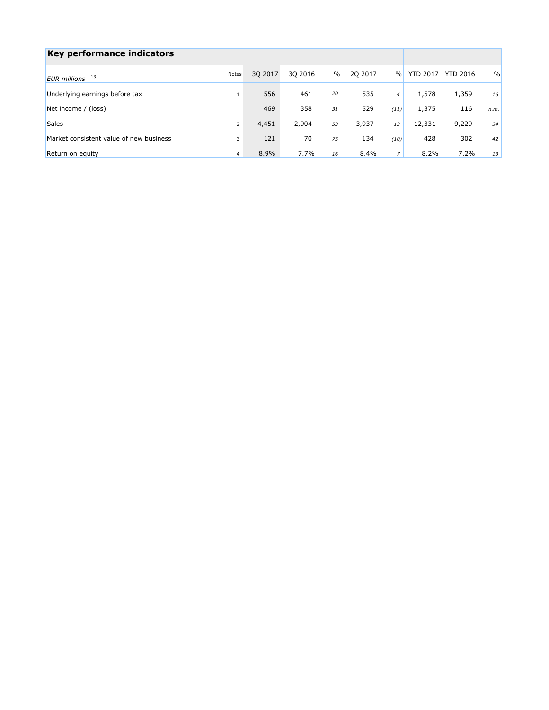| Key performance indicators              |                |         |         |      |         |                |                 |                 |      |
|-----------------------------------------|----------------|---------|---------|------|---------|----------------|-----------------|-----------------|------|
| EUR millions 13                         | Notes          | 30 2017 | 30 2016 | $\%$ | 20 2017 | $\frac{0}{0}$  | <b>YTD 2017</b> | <b>YTD 2016</b> | $\%$ |
| Underlying earnings before tax          |                | 556     | 461     | 20   | 535     | $\overline{4}$ | 1,578           | 1,359           | 16   |
| Net income / (loss)                     |                | 469     | 358     | 31   | 529     | (11)           | 1,375           | 116             | n.m. |
| <b>Sales</b>                            | $\overline{2}$ | 4,451   | 2,904   | 53   | 3,937   | 13             | 12,331          | 9,229           | 34   |
| Market consistent value of new business | 3              | 121     | 70      | 75   | 134     | (10)           | 428             | 302             | 42   |
| Return on equity                        | $\overline{4}$ | 8.9%    | 7.7%    | 16   | 8.4%    |                | 8.2%            | 7.2%            | 13   |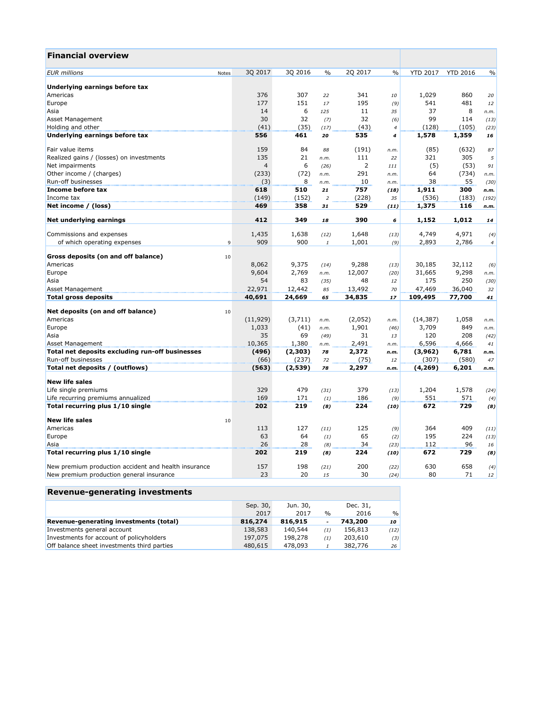| <b>Financial overview</b>                            |       |                |         |                  |         |                |                 |                 |                |
|------------------------------------------------------|-------|----------------|---------|------------------|---------|----------------|-----------------|-----------------|----------------|
| <b>EUR</b> millions                                  | Notes | 3Q 2017        | 3Q 2016 | $\%$             | 2Q 2017 | $\%$           | <b>YTD 2017</b> | <b>YTD 2016</b> | $\frac{0}{0}$  |
|                                                      |       |                |         |                  |         |                |                 |                 |                |
| Underlying earnings before tax                       |       |                |         |                  |         |                |                 |                 |                |
| Americas                                             |       | 376            | 307     | 22               | 341     | 10             | 1,029           | 860             | 20             |
| Europe                                               |       | 177            | 151     | 17               | 195     | (9)            | 541             | 481             | 12             |
| Asia                                                 |       | 14             | 6       | 125              | 11      | 35             | 37              | 8               | n.m.           |
| Asset Management                                     |       | 30             | 32      | (7)              | 32      | (6)            | 99              | 114             | (13)           |
| Holding and other                                    |       | (41)           | (35)    | (17)             | (43)    | $\overline{4}$ | (128)           | (105)           | (23)           |
| Underlying earnings before tax                       |       | 556            | 461     | 20               | 535     | 4              | 1,578           | 1,359           | 16             |
| Fair value items                                     |       | 159            | 84      | 88               | (191)   | n.m.           | (85)            | (632)           | 87             |
| Realized gains / (losses) on investments             |       | 135            | 21      | n.m.             | 111     | 22             | 321             | 305             | 5              |
| Net impairments                                      |       | $\overline{4}$ | 6       | (26)             | 2       | 111            | (5)             | (53)            | 91             |
| Other income / (charges)                             |       | (233)          | (72)    | n.m.             | 291     | n.m.           | 64              | (734)           | n.m.           |
| Run-off businesses                                   |       | (3)            | 8       | n.m.             | 10      | n.m.           | 38              | 55              | (30)           |
| Income before tax                                    |       | 618            | 510     | 21               | 757     | (18)           | 1,911           | 300             | n.m.           |
| Income tax                                           |       | (149)          | (152)   | $\boldsymbol{2}$ | (228)   | 35             | (536)           | (183)           | (192)          |
| Net income / (loss)                                  |       | 469            | 358     | 31               | 529     | (11)           | 1,375           | 116             | n.m.           |
|                                                      |       |                |         |                  |         |                |                 |                 |                |
| Net underlying earnings                              |       | 412            | 349     | 18               | 390     | 6              | 1,152           | 1,012           | 14             |
| Commissions and expenses                             |       | 1,435          | 1,638   | (12)             | 1,648   | (13)           | 4,749           | 4,971           | (4)            |
| of which operating expenses                          | 9     | 909            | 900     | $\mathbf{1}$     | 1,001   | (9)            | 2,893           | 2,786           | $\overline{4}$ |
| Gross deposits (on and off balance)                  | 10    |                |         |                  |         |                |                 |                 |                |
| Americas                                             |       | 8,062          | 9,375   | (14)             | 9,288   | (13)           | 30,185          | 32,112          | (6)            |
| Europe                                               |       | 9,604          | 2,769   | n.m.             | 12,007  | (20)           | 31,665          | 9,298           | n.m.           |
| Asia                                                 |       | 54             | 83      | (35)             | 48      | 12             | 175             | 250             | (30)           |
|                                                      |       | 22,971         | 12,442  |                  | 13,492  | 70             | 47,469          | 36,040          |                |
| Asset Management<br><b>Total gross deposits</b>      |       | 40,691         | 24,669  | 85<br>65         | 34,835  | 17             | 109,495         | 77,700          | 32<br>41       |
|                                                      |       |                |         |                  |         |                |                 |                 |                |
| Net deposits (on and off balance)                    | 10    |                |         |                  |         |                |                 |                 |                |
| Americas                                             |       | (11, 929)      | (3,711) | n.m.             | (2,052) | n.m.           | (14, 387)       | 1,058           | n.m.           |
| Europe                                               |       | 1,033          | (41)    | n.m.             | 1,901   | (46)           | 3,709           | 849             | n.m.           |
| Asia                                                 |       | 35             | 69      | (49)             | 31      | 13             | 120             | 208             | (42)           |
| <b>Asset Management</b>                              |       | 10,365         | 1,380   | n.m.             | 2,491   | n.m.           | 6,596           | 4,666           | 41             |
| Total net deposits excluding run-off businesses      |       | (496)          | (2,303) | 78               | 2,372   | n.m.           | (3,962)         | 6,781           | n.m.           |
| Run-off businesses                                   |       | (66)           | (237)   | 72               | (75)    | 12             | (307)           | (580)           | 47             |
| Total net deposits / (outflows)                      |       | (563)          | (2,539) | 78               | 2,297   | n.m.           | (4, 269)        | 6,201           | n.m.           |
| <b>New life sales</b>                                |       |                |         |                  |         |                |                 |                 |                |
| Life single premiums                                 |       | 329            | 479     | (31)             | 379     | (13)           | 1,204           | 1,578           | (24)           |
| Life recurring premiums annualized                   |       | 169            | 171     | (1)              | 186     | (9)            | 551             | 571             | (4)            |
| Total recurring plus 1/10 single                     |       | 202            | 219     | (8)              | 224     | (10)           | 672             | 729             | (8)            |
| <b>New life sales</b>                                | 10    |                |         |                  |         |                |                 |                 |                |
| Americas                                             |       | 113            | 127     | (11)             | 125     | (9)            | 364             | 409             | (11)           |
| Europe                                               |       | 63             | 64      | (1)              | 65      | (2)            | 195             | 224             | (13)           |
| Asia                                                 |       | 26             | 28      | (8)              | 34      | (23)           | 112             | 96              | 16             |
| Total recurring plus 1/10 single                     |       | 202            | 219     | (8)              | 224     | (10)           | 672             | 729             | (8)            |
|                                                      |       | 157            | 198     |                  | 200     |                | 630             | 658             |                |
| New premium production accident and health insurance |       | 23             | 20      | (21)             | 30      | (22)           | 80              | 71              | (4)            |
| New premium production general insurance             |       |                |         | 15               |         | (24)           |                 |                 | 12             |

# **Revenue-generating investments**

|                                             | Sep. 30,<br>2017 | Jun. 30,<br>2017 | $\frac{0}{0}$ | Dec. 31,<br>2016 | $\frac{0}{0}$ |
|---------------------------------------------|------------------|------------------|---------------|------------------|---------------|
| Revenue-generating investments (total)      | 816,274          | 816,915          | ۰             | 743,200          | 10 I          |
| Investments general account                 | 138,583          | 140,544          | (1)           | 156,813          | (12)          |
| Investments for account of policyholders    | 197,075          | 198,278          | (1)           | 203,610          | (3)           |
| Off balance sheet investments third parties | 480,615          | 478,093          |               | 382,776          | 26            |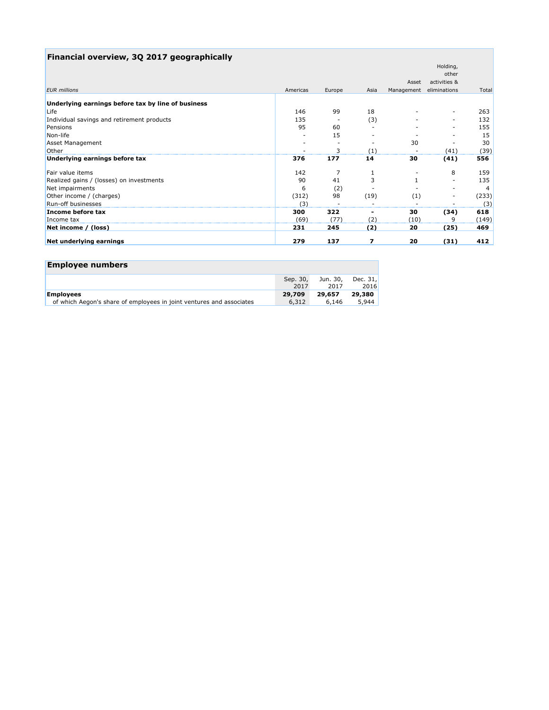| Financial overview, 3Q 2017 geographically         |          |        |      |            |                          |       |
|----------------------------------------------------|----------|--------|------|------------|--------------------------|-------|
|                                                    |          |        |      |            | Holding,                 |       |
|                                                    |          |        |      |            | other                    |       |
|                                                    |          |        |      | Asset      | activities &             |       |
| <b>EUR</b> millions                                | Americas | Europe | Asia | Management | eliminations             | Total |
| Underlying earnings before tax by line of business |          |        |      |            |                          |       |
| Life                                               | 146      | 99     | 18   |            | -                        | 263   |
| Individual savings and retirement products         | 135      |        | (3)  |            | -                        | 132   |
| Pensions                                           | 95       | 60     |      |            | -                        | 155   |
| Non-life                                           |          | 15     |      |            | $\overline{\phantom{a}}$ | 15    |
| <b>Asset Management</b>                            |          |        |      | 30         |                          | 30    |
| Other                                              |          | 3      | (1)  |            | (41)                     | (39)  |
| Underlying earnings before tax                     | 376      | 177    | 14   | 30         | (41)                     | 556   |
| Fair value items                                   | 142      | 7      |      |            | 8                        | 159   |
| Realized gains / (losses) on investments           | 90       | 41     | 3    |            |                          | 135   |
| Net impairments                                    | 6        | (2)    |      |            |                          | 4     |
| Other income / (charges)                           | (312)    | 98     | (19) | (1)        | -                        | (233) |
| Run-off businesses                                 | (3)      |        |      |            |                          | (3)   |
| Income before tax                                  | 300      | 322    | ٠    | 30         | (34)                     | 618   |
| Income tax                                         | (69)     | (77)   | (2)  | (10)       | 9                        | (149) |
| Net income / (loss)                                | 231      | 245    | (2)  | 20         | (25)                     | 469   |
| Net underlying earnings                            | 279      | 137    | 7    | 20         | (31)                     | 412   |

| <b>Employee numbers</b>                                              |                  |                  |                  |
|----------------------------------------------------------------------|------------------|------------------|------------------|
|                                                                      | Sep. 30,<br>2017 | Jun. 30,<br>2017 | Dec. 31,<br>2016 |
| <b>Employees</b>                                                     | 29,709           | 29,657           | 29,380           |
| of which Aegon's share of employees in joint ventures and associates | 6,312            | 6,146            | 5,944            |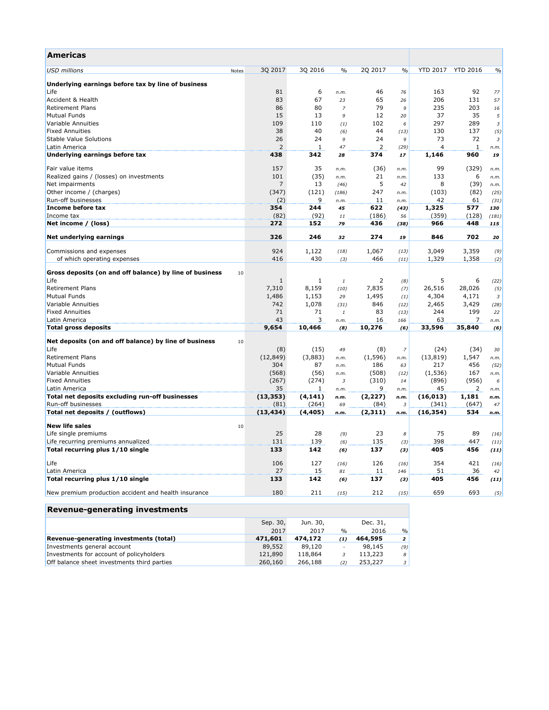| Americas                                                      |                |              |                |          |                |                 |                 |                      |
|---------------------------------------------------------------|----------------|--------------|----------------|----------|----------------|-----------------|-----------------|----------------------|
| <b>USD</b> millions<br>Notes                                  | 3Q 2017        | 3Q 2016      | $\frac{0}{0}$  | 2Q 2017  | $\%$           | <b>YTD 2017</b> | <b>YTD 2016</b> | $\frac{0}{0}$        |
| Underlying earnings before tax by line of business            |                |              |                |          |                |                 |                 |                      |
| Life                                                          | 81             | 6            | n.m.           | 46       | 76             | 163             | 92              | 77                   |
| Accident & Health                                             | 83             | 67           | 23             | 65       | 26             | 206             | 131             | 57                   |
| <b>Retirement Plans</b>                                       | 86             | 80           | $\overline{z}$ | 79       | 9              | 235             | 203             | 16                   |
| <b>Mutual Funds</b>                                           | 15             | 13           | 9              | 12       | 20             | 37              | 35              | $\sqrt{5}$           |
| Variable Annuities                                            | 109            | 110          | (1)            | 102      | 6              | 297             | 289             | $\sqrt{3}$           |
| <b>Fixed Annuities</b>                                        | 38             | 40           | (6)            | 44       | (13)           | 130             | 137             | (5)                  |
| <b>Stable Value Solutions</b>                                 | 26             | 24           | 9              | 24       | 9              | 73              | 72              | 3                    |
| Latin America                                                 | $\overline{2}$ | $\mathbf{1}$ | 47             | 2        | (29)           | 4               | 1               | n.m.                 |
| Underlying earnings before tax                                | 438            | 342          | 28             | 374      | 17             | 1,146           | 960             | 19                   |
| Fair value items                                              | 157            | 35           | n.m.           | (36)     | n.m.           | 99              | (329)           | n.m.                 |
| Realized gains / (losses) on investments                      | 101            | (35)         | n.m.           | 21       | n.m.           | 133             | 6               | n.m.                 |
| Net impairments                                               | $\overline{7}$ | 13           | (46)           | 5        | 42             | 8               | (39)            | n.m.                 |
| Other income / (charges)                                      | (347)          | (121)        | (186)          | 247      | n.m.           | (103)           | (82)            | (25)                 |
| Run-off businesses                                            | (2)            | 9            | n.m.           | 11       | n.m.           | 42              | 61              | (31)                 |
| Income before tax                                             | 354            | 244          | 45             | 622      | (43)           | 1,325           | 577             | 130                  |
| Income tax                                                    | (82)           | (92)         | $11\,$         | (186)    | 56             | (359)           | (128)           | (181)                |
| Net income / (loss)                                           | 272            | 152          | 79             | 436      | (38)           | 966             | 448             | 115                  |
| Net underlying earnings                                       | 326            | 246          | 32             | 274      | 19             | 846             | 702             | 20                   |
| Commissions and expenses                                      | 924            | 1,122        | (18)           | 1,067    | (13)           | 3,049           | 3,359           | (9)                  |
| of which operating expenses                                   | 416            | 430          | (3)            | 466      | (11)           | 1,329           | 1,358           | (2)                  |
|                                                               |                |              |                |          |                |                 |                 |                      |
| Gross deposits (on and off balance) by line of business<br>10 |                |              |                |          |                |                 |                 |                      |
| Life                                                          | 1              | 1            | $\it 1$        | 2        | (8)            | 5               | 6               | (22)                 |
| <b>Retirement Plans</b>                                       | 7,310          | 8,159        | (10)           | 7,835    | (7)            | 26,516          | 28,026          | (5)                  |
| <b>Mutual Funds</b>                                           | 1,486          | 1,153        | 29             | 1,495    | (1)            | 4,304           | 4,171           | $\boldsymbol{\beta}$ |
| Variable Annuities                                            | 742            | 1,078        | (31)           | 846      | (12)           | 2,465           | 3,429           | (28)                 |
| <b>Fixed Annuities</b>                                        | 71             | 71           | 1              | 83       | (13)           | 244             | 199             | 22                   |
| Latin America                                                 | 43             | 3            | n.m.           | 16       | 166            | 63              | 7               | n.m.                 |
| <b>Total gross deposits</b>                                   | 9,654          | 10,466       | (8)            | 10,276   | (6)            | 33,596          | 35,840          | (6)                  |
| Net deposits (on and off balance) by line of business<br>10   |                |              |                |          |                |                 |                 |                      |
| Life                                                          | (8)            | (15)         | 49             | (8)      | $\overline{z}$ | (24)            | (34)            | 30                   |
| <b>Retirement Plans</b>                                       | (12, 849)      | (3,883)      | n.m.           | (1, 596) | n.m.           | (13, 819)       | 1,547           | n.m.                 |
| <b>Mutual Funds</b>                                           | 304            | 87           | n.m.           | 186      | 63             | 217             | 456             | (52)                 |
| Variable Annuities                                            | (568)          | (56)         | n.m.           | (508)    | (12)           | (1, 536)        | 167             | n.m.                 |
| <b>Fixed Annuities</b>                                        | (267)          | (274)        | $\overline{3}$ | (310)    | 14             | (896)           | (956)           | 6                    |
| Latin America                                                 | 35             | 1            | n.m.           | 9        | n.m.           | 45              | 2               | n.m.                 |
| Total net deposits excluding run-off businesses               | (13, 353)      | (4, 141)     | n.m.           | (2, 227) | n.m.           | (16, 013)       | 1,181           | n.m.                 |
| Run-off businesses                                            | (81)           | (264)        | 69             | (84)     | $\overline{3}$ | (341)           | (647)           | 47                   |
| Total net deposits / (outflows)                               | (13, 434)      | (4, 405)     | n.m.           | (2,311)  | n.m.           | (16, 354)       | 534             | n.m.                 |
| <b>New life sales</b><br>10                                   |                |              |                |          |                |                 |                 |                      |
| Life single premiums                                          | 25             | 28           | (9)            | 23       | 8              | 75              | 89              | (16)                 |
| Life recurring premiums annualized                            | 131            | 139          | (6)            | 135      | (3)            | 398             | 447             | (11)                 |
| Total recurring plus 1/10 single                              | 133            | 142          | (6)            | 137      | (3)            | 405             | 456             | (11)                 |
| Life                                                          | 106            | 127          | (16)           | 126      | (16)           | 354             | 421             | (16)                 |
| Latin America                                                 | 27             | 15           | 81             | 11       | 146            | 51              | 36              | 42                   |
| Total recurring plus 1/10 single                              | 133            | 142          | (6)            | 137      | (3)            | 405             | 456             | (11)                 |
| New premium production accident and health insurance          | 180            | 211          | (15)           | 212      | (15)           | 659             | 693             | (5)                  |
|                                                               |                |              |                |          |                |                 |                 |                      |

# **Revenue-generating investments**

|                                             | Sep. 30, | Jun. 30, |               | Dec. 31, |                         |
|---------------------------------------------|----------|----------|---------------|----------|-------------------------|
|                                             | 2017     | 2017     | $\frac{0}{0}$ | 2016     | $\frac{0}{0}$           |
| Revenue-generating investments (total)      | 471,601  | 474,172  | (1)           | 464,595  | 2 <sup>1</sup>          |
| Investments general account                 | 89,552   | 89,120   | $\sim$        | 98,145   | (9)                     |
| Investments for account of policyholders    | 121,890  | 118,864  |               | 113,223  | 8 <sup>1</sup>          |
| Off balance sheet investments third parties | 260,160  | 266,188  | (2)           | 253,227  | $\overline{\mathbf{3}}$ |
|                                             |          |          |               |          |                         |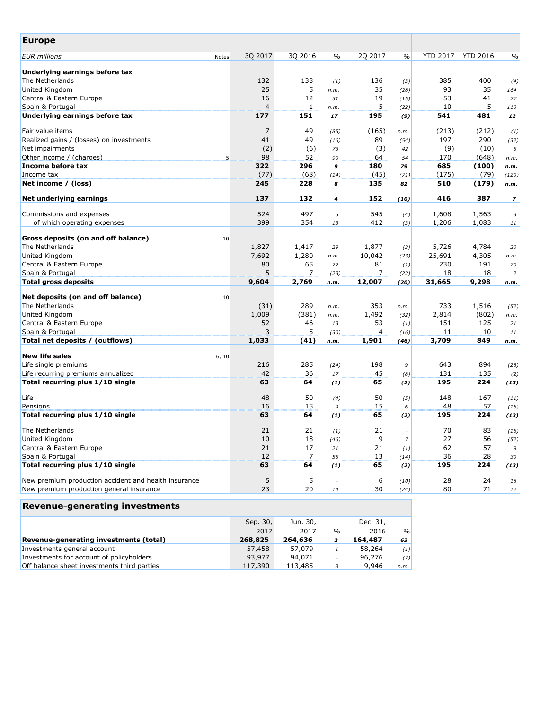| <b>Europe</b>                                          |       |                |              |                  |                |                |                 |                 |                          |
|--------------------------------------------------------|-------|----------------|--------------|------------------|----------------|----------------|-----------------|-----------------|--------------------------|
| <b>EUR</b> millions                                    | Notes | 3Q 2017        | 3Q 2016      | $\frac{0}{0}$    | 2Q 2017        | $\frac{0}{0}$  | <b>YTD 2017</b> | <b>YTD 2016</b> | $\frac{0}{0}$            |
| Underlying earnings before tax                         |       |                |              |                  |                |                |                 |                 |                          |
| The Netherlands                                        |       | 132            | 133          | (1)              | 136            | (3)            | 385             | 400             | (4)                      |
| United Kingdom                                         |       | 25             | 5            | n.m.             | 35             | (28)           | 93              | 35              | 164                      |
| Central & Eastern Europe                               |       | 16             | 12           | 31               | 19             | (15)           | 53              | 41              | 27                       |
| Spain & Portugal                                       |       | 4              | $\mathbf{1}$ | n.m.             | 5              | (22)           | 10              | 5               | 110                      |
| Underlying earnings before tax                         |       | 177            | 151          | 17               | 195            | (9)            | 541             | 481             | 12                       |
| Fair value items                                       |       | $\overline{7}$ | 49           | (85)             | (165)          | n.m.           | (213)           | (212)           | (1)                      |
| Realized gains / (losses) on investments               |       | 41             | 49           | (16)             | 89             | (54)           | 197             | 290             | (32)                     |
| Net impairments                                        |       | (2)            | (6)          | 73               | (3)            | 42             | (9)             | (10)            | $\sqrt{5}$               |
| Other income / (charges)                               | 5     | 98             | 52           | 90               | 64             | 54             | 170             | (648)           | n.m.                     |
| Income before tax                                      |       | 322            | 296          | 9                | 180            | 79             | 685             | (100)           | n.m.                     |
| Income tax                                             |       | (77)           | (68)         | (14)             | (45)           | (71)           | (175)           | (79)            | (120)                    |
| Net income / (loss)                                    |       | 245            | 228          | 8                | 135            | 82             | 510             | (179)           | n.m.                     |
| Net underlying earnings                                |       | 137            | 132          | $\boldsymbol{4}$ | 152            | (10)           | 416             | 387             | $\overline{\phantom{a}}$ |
| Commissions and expenses                               |       | 524            | 497          | 6                | 545            | (4)            | 1,608           | 1,563           | 3                        |
| of which operating expenses                            |       | 399            | 354          | 13               | 412            | (3)            | 1,206           | 1,083           | 11                       |
|                                                        |       |                |              |                  |                |                |                 |                 |                          |
| Gross deposits (on and off balance)<br>The Netherlands | 10    |                |              |                  |                |                |                 |                 |                          |
|                                                        |       | 1,827          | 1,417        | 29               | 1,877          | (3)            | 5,726           | 4,784           | 20                       |
| United Kingdom                                         |       | 7,692          | 1,280        | n.m.             | 10,042         | (23)           | 25,691          | 4,305           | n.m.                     |
| Central & Eastern Europe                               |       | 80             | 65           | 22               | 81             | (1)            | 230             | 191             | 20                       |
| Spain & Portugal                                       |       | 5              | 7            | (23)             | $\overline{7}$ | (22)           | 18              | 18              | $\sqrt{2}$               |
| <b>Total gross deposits</b>                            |       | 9,604          | 2,769        | n.m.             | 12,007         | (20)           | 31,665          | 9,298           | n.m.                     |
| Net deposits (on and off balance)                      | 10    |                |              |                  |                |                |                 |                 |                          |
| The Netherlands                                        |       | (31)           | 289          | n.m.             | 353            | n.m.           | 733             | 1,516           | (52)                     |
| United Kingdom                                         |       | 1,009          | (381)        | n.m.             | 1,492          | (32)           | 2,814           | (802)           | n.m.                     |
| Central & Eastern Europe                               |       | 52             | 46           | 13               | 53             | (1)            | 151             | 125             | 21                       |
| Spain & Portugal                                       |       | 3              | 5            | (30)             | 4              | (16)           | 11              | 10              | 11                       |
| Total net deposits / (outflows)                        |       | 1,033          | (41)         | n.m.             | 1,901          | (46)           | 3,709           | 849             | n.m.                     |
| <b>New life sales</b>                                  | 6, 10 |                |              |                  |                |                |                 |                 |                          |
| Life single premiums                                   |       | 216            | 285          | (24)             | 198            | 9              | 643             | 894             | (28)                     |
| Life recurring premiums annualized                     |       | 42             | 36           | 17               | 45             | (8)            | 131             | 135             | (2)                      |
| Total recurring plus 1/10 single                       |       | 63             | 64           | (1)              | 65             | (2)            | 195             | 224             | (13)                     |
| Life                                                   |       | 48             | 50           | (4)              | 50             | (5)            | 148             | 167             | (11)                     |
| Pensions                                               |       | 16             | 15           | 9                | 15             | 6              | 48              | 57              | (16)                     |
| Total recurring plus 1/10 single                       |       | 63             | 64           | (1)              | 65             | (2)            | 195             | 224             | (13)                     |
| The Netherlands                                        |       | 21             | 21           | (1)              | 21             |                | 70              | 83              | (16)                     |
| United Kingdom                                         |       | 10             | 18           | (46)             | 9              | $\overline{z}$ | 27              | 56              | (52)                     |
| Central & Eastern Europe                               |       | 21             | 17           | 21               | 21             | (1)            | 62              | 57              | 9                        |
| Spain & Portugal                                       |       | 12             | 7            | 55               | 13             | (14)           | 36              | 28              | 30                       |
| Total recurring plus 1/10 single                       |       | 63             | 64           | (1)              | 65             | (2)            | 195             | 224             | (13)                     |
| New premium production accident and health insurance   |       | 5              | 5            |                  | 6              | (10)           | 28              | 24              | 18                       |
| New premium production general insurance               |       | 23             | 20           | 14               | 30             | (24)           | 80              | 71              | 12                       |
|                                                        |       |                |              |                  |                |                |                 |                 |                          |

# **Revenue-generating investments**

|                                             | Sep. 30, | Jun. 30, |                          | Dec. 31, |               |
|---------------------------------------------|----------|----------|--------------------------|----------|---------------|
|                                             | 2017     | 2017     | $\frac{0}{0}$            | 2016     | $\frac{9}{6}$ |
| Revenue-generating investments (total)      | 268,825  | 264,636  |                          | 164,487  | 63            |
| Investments general account                 | 57,458   | 57,079   |                          | 58,264   | (1)           |
| Investments for account of policyholders    | 93,977   | 94,071   | $\overline{\phantom{a}}$ | 96,276   | (2)           |
| Off balance sheet investments third parties | 117,390  | 113,485  | 3                        | 9,946    | n.m.          |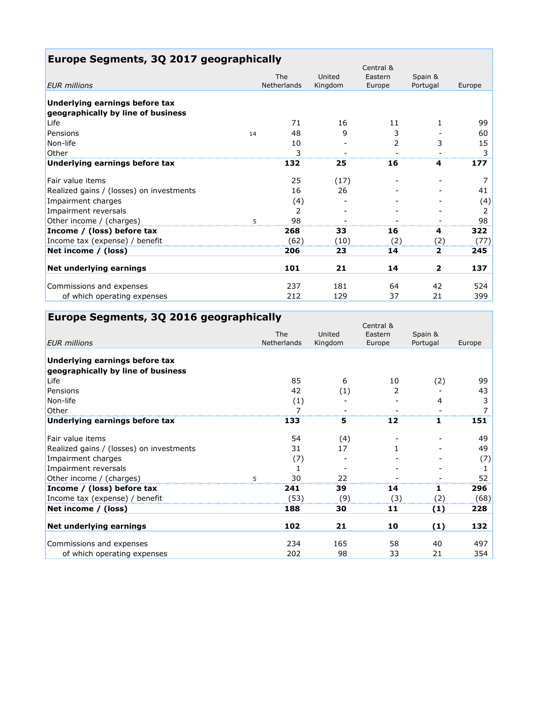| Europe Segments, 3Q 2017 geographically  |    |                    |         |                      |              |        |
|------------------------------------------|----|--------------------|---------|----------------------|--------------|--------|
|                                          |    | The                | United  | Central &<br>Eastern | Spain &      |        |
| <b>EUR</b> millions                      |    | <b>Netherlands</b> | Kingdom | Europe               | Portugal     | Europe |
|                                          |    |                    |         |                      |              |        |
| Underlying earnings before tax           |    |                    |         |                      |              |        |
| geographically by line of business       |    |                    |         |                      |              |        |
| Life                                     |    | 71                 | 16      | 11                   | 1            | 99     |
| Pensions                                 | 14 | 48                 | 9       | 3                    |              | 60     |
| Non-life                                 |    | 10                 |         | 2                    | 3            | 15     |
| Other                                    |    | 3                  |         |                      |              | 3      |
| Underlying earnings before tax           |    | 132                | 25      | 16                   | 4            | 177    |
| Fair value items                         |    | 25                 | (17)    |                      |              | 7      |
| Realized gains / (losses) on investments |    | 16                 | 26      |                      |              | 41     |
| Impairment charges                       |    | (4)                |         |                      |              | (4)    |
| Impairment reversals                     |    | 2                  |         |                      |              | 2      |
| Other income / (charges)                 | 5  | 98                 |         |                      |              | 98     |
| Income / (loss) before tax               |    | 268                | 33      | 16                   | 4            | 322    |
| Income tax (expense) / benefit           |    | (62)               | (10)    | (2)                  | (2)          | (77)   |
| Net income / (loss)                      |    | 206                | 23      | 14                   | 2            | 245    |
| Net underlying earnings                  |    | 101                | 21      | 14                   | $\mathbf{2}$ | 137    |
| Commissions and expenses                 |    | 237                | 181     | 64                   | 42           | 524    |
| of which operating expenses              |    | 212                | 129     | 37                   | 21           | 399    |

# **Europe Segments, 3Q 2016 geographically**

|                                                                      | The         | United  | Central &<br>Eastern | Spain &  |        |
|----------------------------------------------------------------------|-------------|---------|----------------------|----------|--------|
| <b>EUR</b> millions                                                  | Netherlands | Kingdom | Europe               | Portugal | Europe |
| Underlying earnings before tax<br>geographically by line of business |             |         |                      |          |        |
| Life                                                                 | 85          | 6       | 10                   | (2)      | 99     |
| Pensions                                                             | 42          | (1)     | 2                    |          | 43     |
| Non-life                                                             | (1)         |         |                      | 4        | 3      |
| Other                                                                | 7           |         |                      |          |        |
| Underlying earnings before tax                                       | 133         | 5       | 12                   | 1        | 151    |
| Fair value items                                                     | 54          | (4)     |                      |          | 49     |
| Realized gains / (losses) on investments                             | 31          | 17      |                      |          | 49     |
| Impairment charges                                                   | (7)         |         |                      |          | (7)    |
| Impairment reversals                                                 | 1           |         |                      |          | 1      |
| Other income / (charges)<br>5                                        | 30          | 22      |                      |          | 52     |
| Income / (loss) before tax                                           | 241         | 39      | 14                   | 1        | 296    |
| Income tax (expense) / benefit                                       | (53)        | (9)     | (3)                  | (2)      | (68)   |
| Net income / (loss)                                                  | 188         | 30      | 11                   | (1)      | 228    |
| Net underlying earnings                                              | 102         | 21      | 10                   | (1)      | 132    |
| Commissions and expenses                                             | 234         | 165     | 58                   | 40       | 497    |
| of which operating expenses                                          | 202         | 98      | 33                   | 21       | 354    |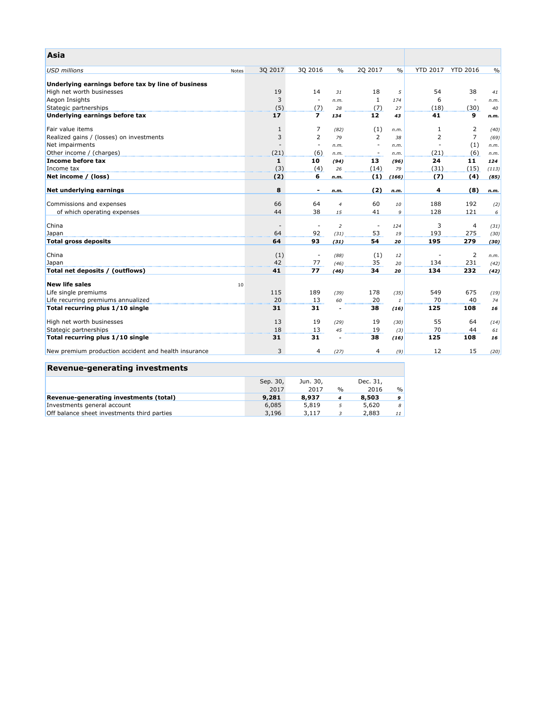| Asia                                                 |                          |                          |                          |                          |               |                 |                          |               |
|------------------------------------------------------|--------------------------|--------------------------|--------------------------|--------------------------|---------------|-----------------|--------------------------|---------------|
| <b>USD millions</b>                                  | 3Q 2017<br>Notes         | 30 2016                  | $\frac{0}{0}$            | 20 2017                  | $\frac{0}{0}$ | <b>YTD 2017</b> | <b>YTD 2016</b>          | $\frac{0}{0}$ |
| Underlying earnings before tax by line of business   |                          |                          |                          |                          |               |                 |                          |               |
| High net worth businesses                            | 19                       | 14                       | 31                       | 18                       | 5             | 54              | 38                       | 41            |
| Aegon Insights                                       | 3                        |                          | n.m.                     | $\mathbf{1}$             | 174           | 6               | $\overline{\phantom{a}}$ | n.m.          |
| Stategic partnerships                                | (5)                      | (7)                      | 28                       | (7)                      | 27            | (18)            | (30)                     | 40            |
| Underlying earnings before tax                       | 17                       | $\overline{\phantom{a}}$ | 134                      | 12                       | 43            | 41              | 9                        | n.m.          |
|                                                      |                          |                          |                          |                          |               |                 |                          |               |
| Fair value items                                     | $\mathbf{1}$             | $\overline{7}$           | (82)                     | (1)                      | n.m.          | 1               | 2                        | (40)          |
| Realized gains / (losses) on investments             | 3                        | $\overline{2}$           | 79                       | 2                        | 38            | $\overline{2}$  | $\overline{7}$           | (69)          |
| Net impairments                                      |                          | $\overline{\phantom{a}}$ | n.m.                     | $\overline{\phantom{a}}$ | n.m.          |                 | (1)                      | n.m.          |
| Other income / (charges)                             | (21)                     | (6)                      | n.m.                     | $\sim$                   | n.m.          | (21)            | (6)                      | n.m.          |
| Income before tax                                    | $\mathbf{1}$             | 10                       | (94)                     | 13                       | (96)          | 24              | 11                       | 124           |
| Income tax                                           | (3)                      | (4)                      | 26                       | (14)                     | 79            | (31)            | (15)                     | (113)         |
| Net income / (loss)                                  | (2)                      | 6                        | n.m.                     | (1)                      | (166)         | (7)             | (4)                      | (85)          |
| Net underlying earnings                              | 8                        | $\blacksquare$           | n.m.                     | (2)                      | n.m.          | 4               | (8)                      | n.m.          |
| Commissions and expenses                             | 66                       | 64                       | $\overline{4}$           | 60                       | 10            | 188             | 192                      | (2)           |
| of which operating expenses                          | 44                       | 38                       | 15                       | 41                       | 9             | 128             | 121                      | 6             |
|                                                      |                          |                          |                          |                          |               |                 |                          |               |
| China                                                | $\overline{\phantom{a}}$ | $\sim$                   | $\overline{2}$           | $\overline{\phantom{a}}$ | 124           | 3               | $\overline{4}$           | (31)          |
| Japan                                                | 64                       | 92                       | (31)                     | 53                       | 19            | 193             | 275                      | (30)          |
| <b>Total gross deposits</b>                          | 64                       | 93                       | (31)                     | 54                       | 20            | 195             | 279                      | (30)          |
|                                                      |                          |                          |                          |                          |               |                 |                          |               |
| China                                                | (1)                      | $\overline{\phantom{a}}$ | (88)                     | (1)                      | 12            |                 | $\overline{2}$           | n.m.          |
| Japan                                                | 42                       | 77                       | (46)                     | 35                       | 20            | 134             | 231                      | (42)          |
| Total net deposits / (outflows)                      | 41                       | 77                       | (46)                     | 34                       | 20            | 134             | 232                      | (42)          |
| <b>New life sales</b>                                | 10                       |                          |                          |                          |               |                 |                          |               |
| Life single premiums                                 | 115                      | 189                      | (39)                     | 178                      | (35)          | 549             | 675                      | (19)          |
| Life recurring premiums annualized                   | 20                       | 13                       | 60                       | 20                       | $\mathbf{1}$  | 70              | 40                       | 74            |
| Total recurring plus 1/10 single                     | 31                       | 31                       | $\overline{\phantom{a}}$ | 38                       | (16)          | 125             | 108                      | 16            |
|                                                      |                          |                          |                          |                          |               |                 |                          |               |
| High net worth businesses                            | 13                       | 19                       | (29)                     | 19                       | (30)          | 55              | 64                       | (14)          |
| Stategic partnerships                                | 18                       | 13                       | 45                       | 19                       | (3)           | 70              | 44                       | 61            |
| Total recurring plus 1/10 single                     | 31                       | 31                       | $\blacksquare$           | 38                       | (16)          | 125             | 108                      | 16            |
| New premium production accident and health insurance | 3                        | 4                        | (27)                     | $\overline{4}$           | (9)           | 12              | 15                       | (20)          |
| <b>Revenue-generating investments</b>                |                          |                          |                          |                          |               |                 |                          |               |

|                                             | Sep. 30, | Jun. 30, |               | Dec. 31, |               |
|---------------------------------------------|----------|----------|---------------|----------|---------------|
|                                             | 2017     | 2017     | $\frac{1}{2}$ | 2016     | $\frac{0}{0}$ |
| Revenue-generating investments (total)      | 9,281    | 8,937    | 4             | 8,503    | 9             |
| Investments general account                 | 6,085    | 5,819    |               | 5,620    | 8             |
| Off balance sheet investments third parties | 3,196    | 3,117    |               | 2,883    | 11            |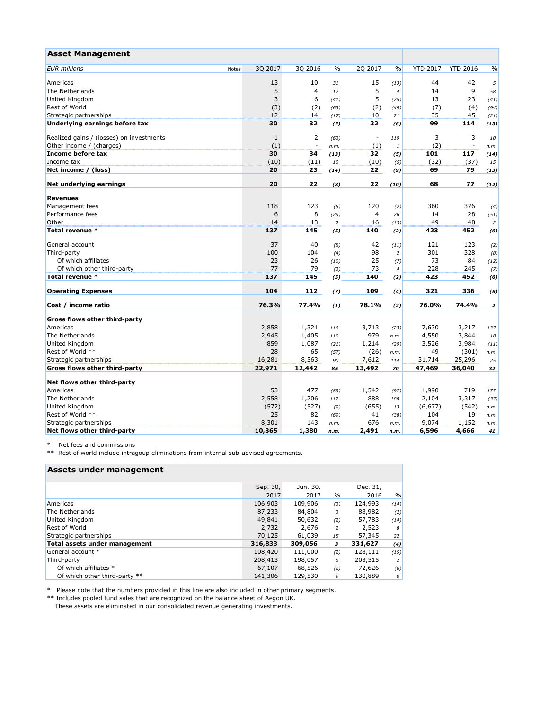| <b>Asset Management</b>                  |       |              |                |               |                          |                |                 |                          |                         |
|------------------------------------------|-------|--------------|----------------|---------------|--------------------------|----------------|-----------------|--------------------------|-------------------------|
| <b>EUR</b> millions                      | Notes | 30 2017      | 30 2016        | $\frac{0}{0}$ | 20 2017                  | $\frac{0}{0}$  | <b>YTD 2017</b> | <b>YTD 2016</b>          | $\frac{0}{0}$           |
| Americas                                 |       | 13           | 10             | 31            | 15                       | (13)           | 44              | 42                       | 5                       |
| The Netherlands                          |       | 5            | $\overline{4}$ | 12            | 5                        | $\overline{4}$ | 14              | 9                        | 58                      |
| United Kingdom                           |       | 3            | 6              | (41)          | 5                        | (25)           | 13              | 23                       | (41)                    |
| Rest of World                            |       | (3)          | (2)            | (63)          | (2)                      | (49)           | (7)             | (4)                      | (94)                    |
| Strategic partnerships                   |       | 12           | 14             | (17)          | 10                       | 21             | 35              | 45                       | (21)                    |
| Underlying earnings before tax           |       | 30           | 32             | (7)           | 32                       | (6)            | 99              | 114                      | (13)                    |
| Realized gains / (losses) on investments |       | $\mathbf{1}$ | $\overline{2}$ | (63)          | $\overline{\phantom{a}}$ | 119            | 3               | 3                        | 10                      |
| Other income / (charges)                 |       | (1)          | $\blacksquare$ | n.m.          | (1)                      | $\it 1$        | (2)             | $\overline{\phantom{a}}$ | n.m.                    |
| Income before tax                        |       | 30           | 34             | (13)          | 32                       | (5)            | 101             | 117                      | (14)                    |
| Income tax                               |       | (10)         | (11)           | 10            | (10)                     | (5)            | (32)            | (37)                     | 15                      |
| Net income / (loss)                      |       | 20           | 23             | (14)          | 22                       | (9)            | 69              | 79                       | (13)                    |
| Net underlying earnings                  |       | 20           | 22             | (8)           | 22                       | (10)           | 68              | 77                       | (12)                    |
| <b>Revenues</b>                          |       |              |                |               |                          |                |                 |                          |                         |
| Management fees                          |       | 118          | 123            | (5)           | 120                      |                | 360             | 376                      |                         |
| Performance fees                         |       | 6            | 8              |               | $\overline{4}$           | (2)<br>26      | 14              | 28                       | (4)                     |
| Other                                    |       | 14           | 13             | (29)          | 16                       |                | 49              | 48                       | (51)                    |
|                                          |       |              |                | 2             |                          | (13)           |                 |                          | $\overline{2}$          |
| Total revenue *                          |       | 137          | 145            | (5)           | 140                      | (2)            | 423             | 452                      | (6)                     |
| General account                          |       | 37           | 40             | (8)           | 42                       | (11)           | 121             | 123                      | (2)                     |
| Third-party                              |       | 100          | 104            | (4)           | 98                       | $\overline{2}$ | 301             | 328                      | (8)                     |
| Of which affiliates                      |       | 23           | 26             | (10)          | 25                       | (7)            | 73              | 84                       | (12)                    |
| Of which other third-party               |       | 77           | 79             | (3)           | 73                       | $\overline{4}$ | 228             | 245                      | (7)                     |
| Total revenue *                          |       | 137          | 145            | (5)           | 140                      | (2)            | 423             | 452                      | (6)                     |
| <b>Operating Expenses</b>                |       | 104          | 112            | (7)           | 109                      | (4)            | 321             | 336                      | (5)                     |
| Cost / income ratio                      |       | 76.3%        | 77.4%          | (1)           | 78.1%                    | (2)            | 76.0%           | 74.4%                    | $\overline{\mathbf{z}}$ |
| Gross flows other third-party            |       |              |                |               |                          |                |                 |                          |                         |
| Americas                                 |       | 2,858        | 1,321          | 116           | 3,713                    | (23)           | 7,630           | 3,217                    | 137                     |
| The Netherlands                          |       | 2,945        | 1,405          | 110           | 979                      | n.m.           | 4,550           | 3,844                    | 18                      |
| United Kingdom                           |       | 859          | 1,087          | (21)          | 1,214                    | (29)           | 3,526           | 3,984                    | (11)                    |
| Rest of World **                         |       | 28           | 65             | (57)          | (26)                     | n.m.           | 49              | (301)                    | n.m.                    |
| Strategic partnerships                   |       | 16,281       | 8,563          | 90            | 7,612                    | 114            | 31,714          | 25,296                   | 25                      |
| Gross flows other third-party            |       | 22,971       | 12,442         | 85            | 13,492                   | 70             | 47,469          | 36,040                   | 32                      |
| Net flows other third-party              |       |              |                |               |                          |                |                 |                          |                         |
| Americas                                 |       | 53           | 477            | (89)          | 1,542                    | (97)           | 1,990           | 719                      | 177                     |
| The Netherlands                          |       | 2,558        | 1,206          | 112           | 888                      | 188            | 2,104           | 3,317                    | (37)                    |
| United Kingdom                           |       | (572)        | (527)          | (9)           | (655)                    | 13             | (6, 677)        | (542)                    | n.m.                    |
| Rest of World **                         |       | 25           | 82             | (69)          | 41                       | (38)           | 104             | 19                       | n.m.                    |
| Strategic partnerships                   |       | 8,301        | 143            | n.m.          | 676                      | n.m.           | 9,074           | 1,152                    | n.m.                    |
| Net flows other third-party              |       | 10,365       | 1,380          | n.m.          | 2,491                    | n.m.           | 6,596           | 4,666                    | 41                      |

\* Net fees and commissions

\*\* Rest of world include intragoup eliminations from internal sub-advised agreements.

# **Assets under management**

| Sep. 30, | Jun. 30, |                          | Dec. 31, |      |
|----------|----------|--------------------------|----------|------|
| 2017     | 2017     | $\%$                     | 2016     | $\%$ |
| 106,903  | 109,906  | (3)                      | 124,993  | (14) |
| 87,233   | 84,804   | 3                        | 88,982   | (2)  |
| 49,841   | 50,632   | (2)                      | 57,783   | (14) |
| 2,732    | 2.676    | $\overline{\phantom{a}}$ | 2,523    | 8    |
| 70,125   | 61,039   | 15                       | 57,345   | 22   |
| 316,833  | 309,056  | з                        | 331,627  | (4)  |
| 108,420  | 111,000  | (2)                      | 128,111  | (15) |
| 208,413  | 198,057  | 5                        | 203,515  | 2    |
| 67,107   | 68,526   | (2)                      | 72,626   | (8)  |
| 141,306  | 129,530  | 9                        | 130,889  | 8    |
|          |          |                          |          |      |

\* Please note that the numbers provided in this line are also included in other primary segments.

\*\* Includes pooled fund sales that are recognized on the balance sheet of Aegon UK. These assets are eliminated in our consolidated revenue generating investments.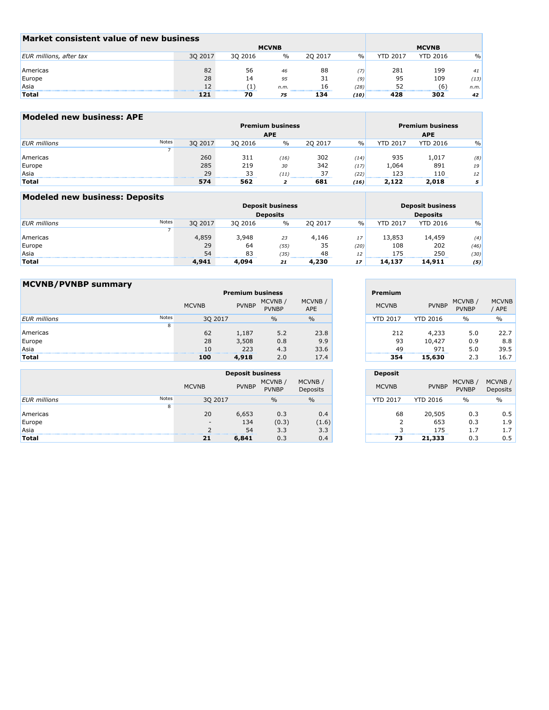| Market consistent value of new business |         |         |              |          |               |                 |                 |               |
|-----------------------------------------|---------|---------|--------------|----------|---------------|-----------------|-----------------|---------------|
|                                         |         |         | <b>MCVNB</b> |          |               |                 | <b>MCVNB</b>    |               |
| EUR millions, after tax                 | 30 2017 | 30 2016 | $\%$         | 20 20 17 | $\frac{0}{0}$ | <b>YTD 2017</b> | <b>YTD 2016</b> | $\frac{0}{0}$ |
|                                         |         |         |              |          |               |                 |                 |               |
| Americas                                | 82      | 56      | 46           | 88       | 7)            | 281             | 199             | 41            |
| Europe                                  | 28      | 14      | 95           | 31       | (9)           | 95              | 109             | (13)          |
| Asia                                    | 12      |         | n.m.         |          | (28)          | 52              | (6)             | n.m.          |
| <b>Total</b>                            | 121     | 70      | 75           | 134      | (10)          | 428             | 302             | 42            |

| <b>Modeled new business: APE</b> |       |         |         |                         |         |      |                         |                 |               |  |
|----------------------------------|-------|---------|---------|-------------------------|---------|------|-------------------------|-----------------|---------------|--|
|                                  |       |         |         | <b>Premium business</b> |         |      | <b>Premium business</b> |                 |               |  |
|                                  |       |         |         | <b>APE</b>              |         |      |                         | <b>APE</b>      |               |  |
| <b>EUR</b> millions              | Notes | 30 2017 | 30 2016 | $\frac{0}{0}$           | 20 2017 | $\%$ | <b>YTD 2017</b>         | <b>YTD 2016</b> | $\frac{0}{0}$ |  |
|                                  |       |         |         |                         |         |      |                         |                 |               |  |
| Americas                         |       | 260     | 311     | (16)                    | 302     | (14) | 935                     | 1,017           | (8)           |  |
| Europe                           |       | 285     | 219     | 30                      | 342     | (17) | 1,064                   | 891             | 19            |  |
| Asia                             |       | 29      | 33      | (11)                    | 37      | (22) | 123                     | 110             | 12            |  |
| <b>Total</b>                     |       | 574     | 562     |                         | 681     | (16) | 2,122                   | 2,018           | 5.            |  |

| Modeled new business: Deposits |              |         |         |                         |         |               |                 |                         |               |  |
|--------------------------------|--------------|---------|---------|-------------------------|---------|---------------|-----------------|-------------------------|---------------|--|
|                                |              |         |         | <b>Deposit business</b> |         |               |                 | <b>Deposit business</b> |               |  |
|                                |              |         |         | <b>Deposits</b>         |         |               |                 | <b>Deposits</b>         |               |  |
| <b>EUR</b> millions            | <b>Notes</b> | 30 2017 | 30 2016 | $\%$                    | 20 2017 | $\frac{0}{0}$ | <b>YTD 2017</b> | <b>YTD 2016</b>         | $\frac{0}{0}$ |  |
|                                |              |         |         |                         |         |               |                 |                         |               |  |
| Americas                       |              | 4,859   | 3,948   | 23                      | 4,146   | 17            | 13,853          | 14,459                  | (4)           |  |
| Europe                         |              | 29      | 64      | (55)                    | 35      | (20)          | 108             | 202                     | (46)          |  |
| Asia                           |              | 54      | 83      | (35)                    | 48      | 12            | 175             | 250                     | (30)          |  |
| <b>Total</b>                   |              | 4,941   | 4,094   | 21                      | 4,230   | 17            | 14,137          | 14,911                  | (5)           |  |

| <b>MCVNB/PVNBP summary</b> |       |              |              |                         |                      |                 |                 |                        |
|----------------------------|-------|--------------|--------------|-------------------------|----------------------|-----------------|-----------------|------------------------|
|                            |       |              |              | <b>Premium business</b> |                      | Premium         |                 |                        |
|                            |       | <b>MCVNB</b> | <b>PVNBP</b> | MCVNB/<br><b>PVNBP</b>  | MCVNB/<br><b>APE</b> | <b>MCVNB</b>    | <b>PVNBP</b>    | MCVNB/<br><b>PVNBP</b> |
| <b>EUR</b> millions        | Notes | 30 2017      |              | $\frac{0}{0}$           | $\frac{0}{0}$        | <b>YTD 2017</b> | <b>YTD 2016</b> | $\frac{0}{0}$          |
|                            | 8     |              |              |                         |                      |                 |                 |                        |
| Americas                   |       | 62           | 1,187        | 5.2                     | 23.8                 | 212             | 4,233           |                        |
| Europe                     |       | 28           | 3,508        | 0.8                     | 9.9                  | 93              | 10,427          |                        |
| Asia                       |       | 10           | 223          | 4.3                     | 33.6                 | 49              | 971             |                        |
| <b>Total</b>               |       | 100          | 4,918        | 2.0                     | 17.4                 | 354             | 15,630          |                        |

|                     |       |              | <b>Deposit business</b> |                         |                     |  |  |  |
|---------------------|-------|--------------|-------------------------|-------------------------|---------------------|--|--|--|
|                     |       | <b>MCVNB</b> | <b>PVNBP</b>            | MCVNB /<br><b>PVNBP</b> | MCVNB /<br>Deposits |  |  |  |
| <b>EUR</b> millions | Notes | 30 2017      |                         | $\frac{0}{0}$           | $\frac{0}{0}$       |  |  |  |
|                     | 8     |              |                         |                         |                     |  |  |  |
| Americas            |       | 20           | 6,653                   | 0.3                     | 0.4                 |  |  |  |
| Europe              |       |              | 134                     | (0.3)                   | (1.6)               |  |  |  |
| Asia                |       |              | 54                      | 3.3                     | 3.3                 |  |  |  |
| <b>Total</b>        |       | 21           | 6,841                   | 0.3                     | 0.4                 |  |  |  |

| CVNB /        | Premium         |                 | MCVNB/       | <b>MCVNB</b> |
|---------------|-----------------|-----------------|--------------|--------------|
| <b>APE</b>    | <b>MCVNB</b>    | <b>PVNBP</b>    | <b>PVNBP</b> | / APE        |
| $\frac{0}{0}$ | <b>YTD 2017</b> | <b>YTD 2016</b> | $\%$         | $\%$         |
|               |                 |                 |              |              |
| 23.8          | 212             | 4,233           | 5.0          | 22.7         |
| 9.9           | 93              | 10,427          | 0.9          | 8.8          |
| 33.6          | 49              | 971             | 5.0          | 39.5         |
| 17.4          | 354             | 15.630          | 2.3          | 16.7         |

|                     | <b>Deposit</b>  |                      |                        |                            |
|---------------------|-----------------|----------------------|------------------------|----------------------------|
| MCVNB/<br>Deposits  | <b>MCVNB</b>    | <b>PVNBP</b>         | MCVNB/<br><b>PVNBP</b> | MCVNB /<br><b>Deposits</b> |
| $\%$                | <b>YTD 2017</b> | <b>YTD 2016</b>      | %                      | $\%$                       |
| 0.4<br>(1.6)<br>3.3 | 68<br>2<br>R    | 20,505<br>653<br>175 | 0.3<br>0.3<br>1.7      | 0.5<br>1.9<br>1.7          |
| 0.4                 | 73              | 21,333               | 0.3                    | 0.5                        |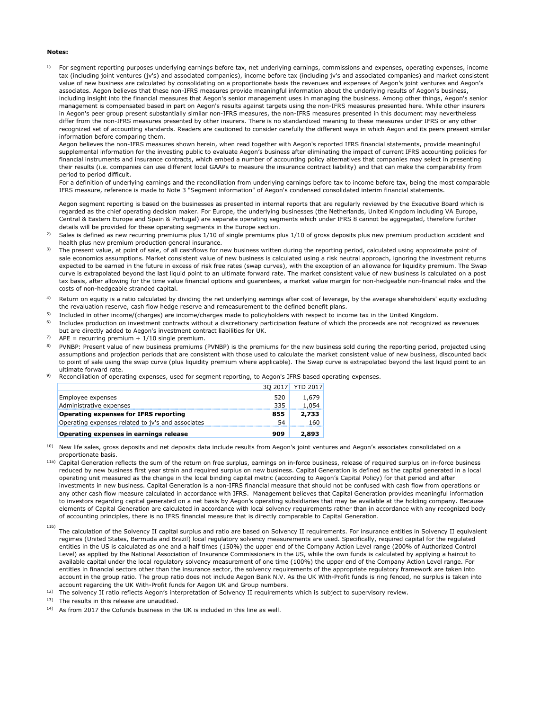### **Notes:**

1) For segment reporting purposes underlying earnings before tax, net underlying earnings, commissions and expenses, operating expenses, income tax (including joint ventures (jv's) and associated companies), income before tax (including jv's and associated companies) and market consistent value of new business are calculated by consolidating on a proportionate basis the revenues and expenses of Aegon's joint ventures and Aegon's associates. Aegon believes that these non-IFRS measures provide meaningful information about the underlying results of Aegon's business, including insight into the financial measures that Aegon's senior management uses in managing the business. Among other things, Aegon's senior management is compensated based in part on Aegon's results against targets using the non-IFRS measures presented here. While other insurers in Aegon's peer group present substantially similar non-IFRS measures, the non-IFRS measures presented in this document may nevertheless differ from the non-IFRS measures presented by other insurers. There is no standardized meaning to these measures under IFRS or any other recognized set of accounting standards. Readers are cautioned to consider carefully the different ways in which Aegon and its peers present similar information before comparing them.

Aegon believes the non-IFRS measures shown herein, when read together with Aegon's reported IFRS financial statements, provide meaningful supplemental information for the investing public to evaluate Aegon's business after eliminating the impact of current IFRS accounting policies for financial instruments and insurance contracts, which embed a number of accounting policy alternatives that companies may select in presenting their results (i.e. companies can use different local GAAPs to measure the insurance contract liability) and that can make the comparability from period to period difficult.

For a definition of underlying earnings and the reconciliation from underlying earnings before tax to income before tax, being the most comparable IFRS measure, reference is made to Note 3 "Segment information" of Aegon's condensed consolidated interim financial statements.

Aegon segment reporting is based on the businesses as presented in internal reports that are regularly reviewed by the Executive Board which is regarded as the chief operating decision maker. For Europe, the underlying businesses (the Netherlands, United Kingdom including VA Europe, Central & Eastern Europe and Spain & Portugal) are separate operating segments which under IFRS 8 cannot be aggregated, therefore further details will be provided for these operating segments in the Europe section.

- 2) Sales is defined as new recurring premiums plus 1/10 of single premiums plus 1/10 of gross deposits plus new premium production accident and health plus new premium production general insurance.
- 3) The present value, at point of sale, of all cashflows for new business written during the reporting period, calculated using approximate point of sale economics assumptions. Market consistent value of new business is calculated using a risk neutral approach, ignoring the investment returns expected to be earned in the future in excess of risk free rates (swap curves), with the exception of an allowance for liquidity premium. The Swap curve is extrapolated beyond the last liquid point to an ultimate forward rate. The market consistent value of new business is calculated on a post tax basis, after allowing for the time value financial options and guarentees, a market value margin for non-hedgeable non-financial risks and the costs of non-hedgeable stranded capital.
- 4) Return on equity is a ratio calculated by dividing the net underlying earnings after cost of leverage, by the average shareholders' equity excluding the revaluation reserve, cash flow hedge reserve and remeasurement to the defined benefit plans.
- 5) Included in other income/(charges) are income/charges made to policyholders with respect to income tax in the United Kingdom.
- 6) Includes production on investment contracts without a discretionary participation feature of which the proceeds are not recognized as revenues but are directly added to Aegon's investment contract liabilities for UK.
- 7)  $APE = recurring premium + 1/10 single premium.$
- 8) PVNBP: Present value of new business premiums (PVNBP) is the premiums for the new business sold during the reporting period, projected using assumptions and projection periods that are consistent with those used to calculate the market consistent value of new business, discounted back to point of sale using the swap curve (plus liquidity premium where applicable). The Swap curve is extrapolated beyond the last liquid point to an ultimate forward rate.
- 9) Reconciliation of operating expenses, used for segment reporting, to Aegon's IFRS based operating expenses.

| Operating expenses related to iv's and associates                | 54         | 160             |
|------------------------------------------------------------------|------------|-----------------|
| Administrative expenses<br>Operating expenses for IFRS reporting | 335<br>855 | 1.054<br>2,733  |
| Employee expenses                                                | 520        | 1,679           |
|                                                                  | 30 2017    | <b>YTD 2017</b> |

<sup>10)</sup> New life sales, gross deposits and net deposits data include results from Aegon's joint ventures and Aegon's associates consolidated on a proportionate basis.

- 11a) Capital Generation reflects the sum of the return on free surplus, earnings on in-force business, release of required surplus on in-force business reduced by new business first year strain and required surplus on new business. Capital Generation is defined as the capital generated in a local operating unit measured as the change in the local binding capital metric (according to Aegon's Capital Policy) for that period and after investments in new business. Capital Generation is a non-IFRS financial measure that should not be confused with cash flow from operations or any other cash flow measure calculated in accordance with IFRS. Management believes that Capital Generation provides meaningful information to investors regarding capital generated on a net basis by Aegon's operating subsidiaries that may be available at the holding company. Because elements of Capital Generation are calculated in accordance with local solvency requirements rather than in accordance with any recognized body of accounting principles, there is no IFRS financial measure that is directly comparable to Capital Generation.
- 11b) The calculation of the Solvency II capital surplus and ratio are based on Solvency II requirements. For insurance entities in Solvency II equivalent regimes (United States, Bermuda and Brazil) local regulatory solvency measurements are used. Specifically, required capital for the regulated entities in the US is calculated as one and a half times (150%) the upper end of the Company Action Level range (200% of Authorized Control Level) as applied by the National Association of Insurance Commissioners in the US, while the own funds is calculated by applying a haircut to available capital under the local regulatory solvency measurement of one time (100%) the upper end of the Company Action Level range. For entities in financial sectors other than the insurance sector, the solvency requirements of the appropriate regulatory framework are taken into account in the group ratio. The group ratio does not include Aegon Bank N.V. As the UK With-Profit funds is ring fenced, no surplus is taken into account regarding the UK With-Profit funds for Aegon UK and Group numbers.
- <sup>12)</sup> The solvency II ratio reflects Aegon's interpretation of Solvency II requirements which is subject to supervisory review.
- 13) The results in this release are unaudited.
- 14) As from 2017 the Cofunds business in the UK is included in this line as well.